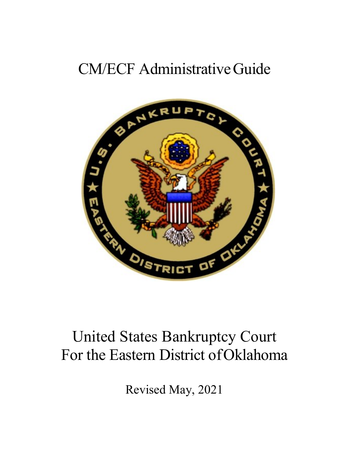# CM/ECF AdministrativeGuide



# United States Bankruptcy Court For the Eastern District ofOklahoma

Revised May, 2021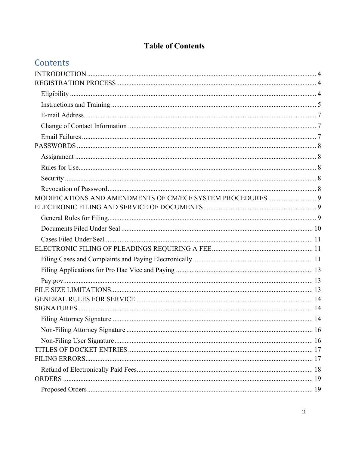# **Table of Contents**

|  |  | Contents |
|--|--|----------|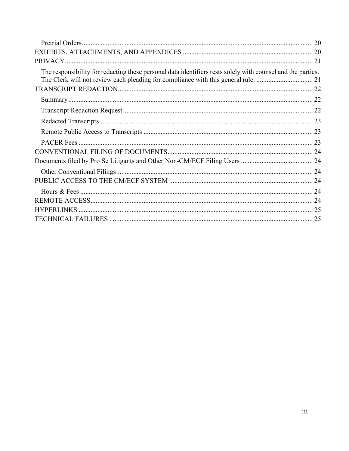| The responsibility for redacting these personal data identifiers rests solely with counsel and the parties. |  |
|-------------------------------------------------------------------------------------------------------------|--|
|                                                                                                             |  |
|                                                                                                             |  |
|                                                                                                             |  |
|                                                                                                             |  |
|                                                                                                             |  |
|                                                                                                             |  |
|                                                                                                             |  |
|                                                                                                             |  |
|                                                                                                             |  |
|                                                                                                             |  |
|                                                                                                             |  |
|                                                                                                             |  |
|                                                                                                             |  |
|                                                                                                             |  |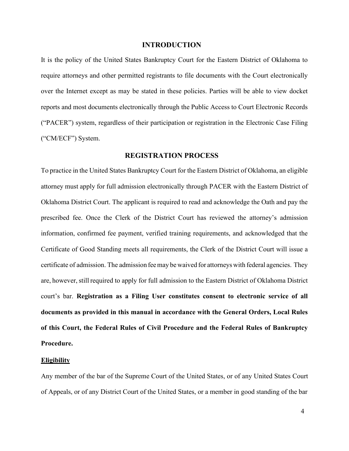# **INTRODUCTION**

<span id="page-3-0"></span>It is the policy of the United States Bankruptcy Court for the Eastern District of Oklahoma to require attorneys and other permitted registrants to file documents with the Court electronically over the Internet except as may be stated in these policies. Parties will be able to view docket reports and most documents electronically through the Public Access to Court Electronic Records ("PACER") system, regardless of their participation or registration in the Electronic Case Filing ("CM/ECF") System.

# **REGISTRATION PROCESS**

<span id="page-3-1"></span>To practice in the United States Bankruptcy Court for the Eastern District of Oklahoma, an eligible attorney must apply for full admission electronically through PACER with the Eastern District of Oklahoma District Court. The applicant is required to read and acknowledge the Oath and pay the prescribed fee. Once the Clerk of the District Court has reviewed the attorney's admission information, confirmed fee payment, verified training requirements, and acknowledged that the Certificate of Good Standing meets all requirements, the Clerk of the District Court will issue a certificate of admission. The admission feemay be waived for attorneys with federal agencies. They are, however, still required to apply for full admission to the Eastern District of Oklahoma District court's bar. **Registration as a Filing User constitutes consent to electronic service of all documents as provided in this manual in accordance with the General Orders, Local Rules of this Court, the Federal Rules of Civil Procedure and the Federal Rules of Bankruptcy Procedure.**

#### <span id="page-3-2"></span>**Eligibility**

Any member of the bar of the Supreme Court of the United States, or of any United States Court of Appeals, or of any District Court of the United States, or a member in good standing of the bar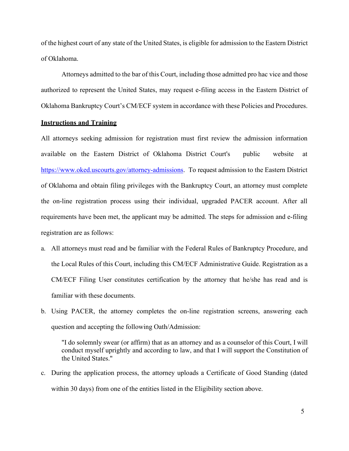of the highest court of any state of the United States, is eligible for admission to the Eastern District of Oklahoma.

Attorneys admitted to the bar of this Court, including those admitted pro hac vice and those authorized to represent the United States, may request e-filing access in the Eastern District of Oklahoma Bankruptcy Court's CM/ECF system in accordance with these Policies and Procedures.

#### <span id="page-4-0"></span>**Instructions and Training**

All attorneys seeking admission for registration must first review the admission information available on the Eastern District of Oklahoma District Court's public website at [https://www.oked.uscourts.gov/attorney-admissions.](https://www.oked.uscourts.gov/attorney-admissions) To request admission to the Eastern District of Oklahoma and obtain filing privileges with the Bankruptcy Court, an attorney must complete the on-line registration process using their individual, upgraded PACER account. After all requirements have been met, the applicant may be admitted. The steps for admission and e-filing registration are as follows:

- a. All attorneys must read and be familiar with the Federal Rules of Bankruptcy Procedure, and the Local Rules of this Court, including this CM/ECF Administrative Guide. Registration as a CM/ECF Filing User constitutes certification by the attorney that he/she has read and is familiar with these documents.
- b. Using PACER, the attorney completes the on-line registration screens, answering each question and accepting the following Oath/Admission:

"I do solemnly swear (or affirm) that as an attorney and as a counselor of this Court, I will conduct myself uprightly and according to law, and that I will support the Constitution of the United States."

c. During the application process, the attorney uploads a Certificate of Good Standing (dated within 30 days) from one of the entities listed in the Eligibility section above.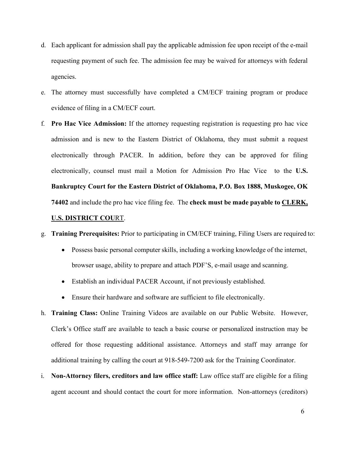- d. Each applicant for admission shall pay the applicable admission fee upon receipt of the e-mail requesting payment of such fee. The admission fee may be waived for attorneys with federal agencies.
- e. The attorney must successfully have completed a CM/ECF training program or produce evidence of filing in a CM/ECF court.
- f. **Pro Hac Vice Admission:** If the attorney requesting registration is requesting pro hac vice admission and is new to the Eastern District of Oklahoma, they must submit a request electronically through PACER. In addition, before they can be approved for filing electronically, counsel must mail a Motion for Admission Pro Hac Vice to the **U.S. Bankruptcy Court for the Eastern District of Oklahoma, P.O. Box 1888, Muskogee, OK 74402** and include the pro hac vice filing fee. The **check must be made payable to CLERK,**

# **U.S. DISTRICT COU**RT.

- g. **Training Prerequisites:** Prior to participating in CM/ECF training, Filing Users are required to:
	- Possess basic personal computer skills, including a working knowledge of the internet, browser usage, ability to prepare and attach PDF'S, e-mail usage and scanning.
	- Establish an individual PACER Account, if not previously established.
	- Ensure their hardware and software are sufficient to file electronically.
- h. **Training Class:** Online Training Videos are available on our Public Website. However, Clerk's Office staff are available to teach a basic course or personalized instruction may be offered for those requesting additional assistance. Attorneys and staff may arrange for additional training by calling the court at 918-549-7200 ask for the Training Coordinator.
- i. **Non-Attorney filers, creditors and law office staff:** Law office staff are eligible for a filing agent account and should contact the court for more information. Non-attorneys (creditors)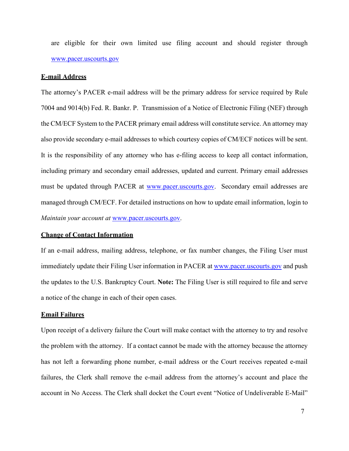are eligible for their own limited use filing account and should register through [www.pacer.uscourts.gov](http://www.pacer.uscourts.gov/)

### <span id="page-6-0"></span>**E-mail Address**

The attorney's PACER e-mail address will be the primary address for service required by Rule 7004 and 9014(b) Fed. R. Bankr. P. Transmission of a Notice of Electronic Filing (NEF) through the CM/ECF System to the PACER primary email address will constitute service. An attorney may also provide secondary e-mail addresses to which courtesy copies of CM/ECF notices will be sent. It is the responsibility of any attorney who has e-filing access to keep all contact information, including primary and secondary email addresses, updated and current. Primary email addresses must be updated through PACER at [www.pacer.uscourts.gov.](http://www.pacer.uscourts.gov/) Secondary email addresses are managed through CM/ECF. For detailed instructions on how to update email information, login to *Maintain your account at* [www.pacer.uscourts.gov.](http://www.pacer.uscourts.gov/)

#### <span id="page-6-1"></span>**Change of Contact Information**

If an e-mail address, mailing address, telephone, or fax number changes, the Filing User must immediately update their Filing User information in PACER at [www.pacer.uscourts.gov](http://www.pacer.uscourts.gov/) and push the updates to the U.S. Bankruptcy Court. **Note:** The Filing User is still required to file and serve a notice of the change in each of their open cases.

# <span id="page-6-2"></span>**Email Failures**

Upon receipt of a delivery failure the Court will make contact with the attorney to try and resolve the problem with the attorney. If a contact cannot be made with the attorney because the attorney has not left a forwarding phone number, e-mail address or the Court receives repeated e-mail failures, the Clerk shall remove the e-mail address from the attorney's account and place the account in No Access. The Clerk shall docket the Court event "Notice of Undeliverable E-Mail"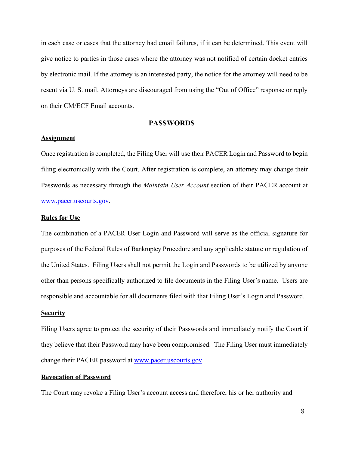in each case or cases that the attorney had email failures, if it can be determined. This event will give notice to parties in those cases where the attorney was not notified of certain docket entries by electronic mail. If the attorney is an interested party, the notice for the attorney will need to be resent via U. S. mail. Attorneys are discouraged from using the "Out of Office" response or reply on their CM/ECF Email accounts.

# **PASSWORDS**

# <span id="page-7-1"></span><span id="page-7-0"></span>**Assignment**

Once registration is completed, the Filing User will use their PACER Login and Password to begin filing electronically with the Court. After registration is complete, an attorney may change their Passwords as necessary through the *Maintain User Account* section of their PACER account at [www.pacer.uscourts.gov.](http://www.pacer.uscourts.gov/)

#### <span id="page-7-2"></span>**Rules for Use**

The combination of a PACER User Login and Password will serve as the official signature for purposes of the Federal Rules of Bankruptcy Procedure and any applicable statute or regulation of the United States. Filing Users shall not permit the Login and Passwords to be utilized by anyone other than persons specifically authorized to file documents in the Filing User's name. Users are responsible and accountable for all documents filed with that Filing User's Login and Password.

## <span id="page-7-3"></span>**Security**

Filing Users agree to protect the security of their Passwords and immediately notify the Court if they believe that their Password may have been compromised. The Filing User must immediately change their PACER password at [www.pacer.uscourts.gov.](http://www.pacer.uscourts.gov/)

# <span id="page-7-4"></span>**Revocation of Password**

The Court may revoke a Filing User's account access and therefore, his or her authority and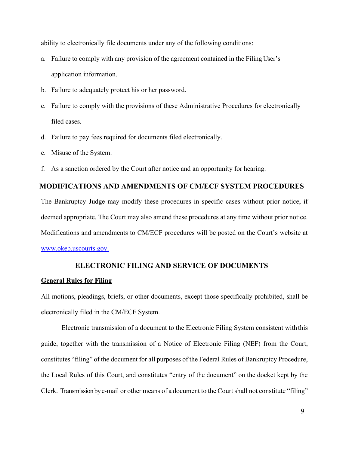ability to electronically file documents under any of the following conditions:

- a. Failure to comply with any provision of the agreement contained in the Filing User's application information.
- b. Failure to adequately protect his or her password.
- c. Failure to comply with the provisions of these Administrative Procedures for electronically filed cases.
- d. Failure to pay fees required for documents filed electronically.
- e. Misuse of the System.
- f. As a sanction ordered by the Court after notice and an opportunity for hearing.

# <span id="page-8-0"></span>**MODIFICATIONS AND AMENDMENTS OF CM/ECF SYSTEM PROCEDURES**

The Bankruptcy Judge may modify these procedures in specific cases without prior notice, if deemed appropriate. The Court may also amend these procedures at any time without prior notice. Modifications and amendments to CM/ECF procedures will be posted on the Court's website at [www.okeb.uscourts.gov.](http://www.okeb.uscourts.gov./)

# **ELECTRONIC FILING AND SERVICE OF DOCUMENTS**

#### <span id="page-8-2"></span><span id="page-8-1"></span>**General Rules for Filing**

All motions, pleadings, briefs, or other documents, except those specifically prohibited, shall be electronically filed in the CM/ECF System.

Electronic transmission of a document to the Electronic Filing System consistent withthis guide, together with the transmission of a Notice of Electronic Filing (NEF) from the Court, constitutes "filing" of the document for all purposes of the Federal Rules of Bankruptcy Procedure, the Local Rules of this Court, and constitutes "entry of the document" on the docket kept by the Clerk. Transmission by e-mail or other means of a document to the Court shall not constitute "filing"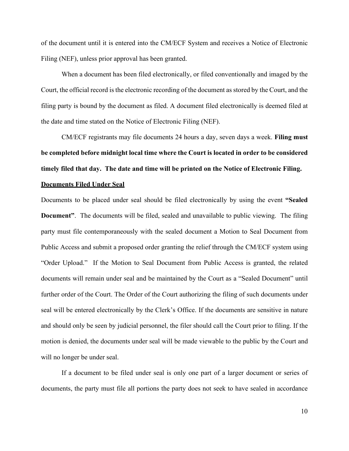of the document until it is entered into the CM/ECF System and receives a Notice of Electronic Filing (NEF), unless prior approval has been granted.

When a document has been filed electronically, or filed conventionally and imaged by the Court, the official record is the electronic recording of the document as stored by the Court, and the filing party is bound by the document as filed. A document filed electronically is deemed filed at the date and time stated on the Notice of Electronic Filing (NEF).

CM/ECF registrants may file documents 24 hours a day, seven days a week. **Filing must be completed before midnight local time where the Court is located in order to be considered timely filed that day. The date and time will be printed on the Notice of Electronic Filing.** 

#### <span id="page-9-0"></span>**Documents Filed Under Seal**

Documents to be placed under seal should be filed electronically by using the event **"Sealed Document"**. The documents will be filed, sealed and unavailable to public viewing. The filing party must file contemporaneously with the sealed document a Motion to Seal Document from Public Access and submit a proposed order granting the relief through the CM/ECF system using "Order Upload." If the Motion to Seal Document from Public Access is granted, the related documents will remain under seal and be maintained by the Court as a "Sealed Document" until further order of the Court. The Order of the Court authorizing the filing of such documents under seal will be entered electronically by the Clerk's Office. If the documents are sensitive in nature and should only be seen by judicial personnel, the filer should call the Court prior to filing. If the motion is denied, the documents under seal will be made viewable to the public by the Court and will no longer be under seal.

If a document to be filed under seal is only one part of a larger document or series of documents, the party must file all portions the party does not seek to have sealed in accordance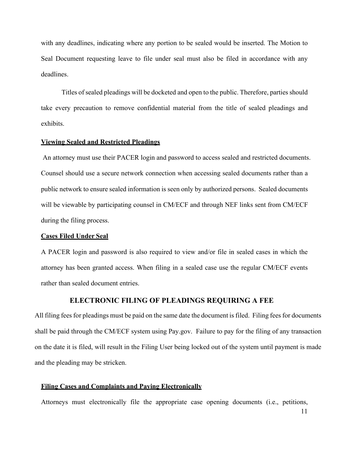with any deadlines, indicating where any portion to be sealed would be inserted. The Motion to Seal Document requesting leave to file under seal must also be filed in accordance with any deadlines.

Titles of sealed pleadings will be docketed and open to the public. Therefore, parties should take every precaution to remove confidential material from the title of sealed pleadings and exhibits.

#### **Viewing Sealed and Restricted Pleadings**

An attorney must use their PACER login and password to access sealed and restricted documents. Counsel should use a secure network connection when accessing sealed documents rather than a public network to ensure sealed information is seen only by authorized persons. Sealed documents will be viewable by participating counsel in CM/ECF and through NEF links sent from CM/ECF during the filing process.

#### <span id="page-10-0"></span>**Cases Filed Under Seal**

A PACER login and password is also required to view and/or file in sealed cases in which the attorney has been granted access. When filing in a sealed case use the regular CM/ECF events rather than sealed document entries.

# **ELECTRONIC FILING OF PLEADINGS REQUIRING A FEE**

<span id="page-10-1"></span>All filing fees for pleadings must be paid on the same date the document is filed. Filing fees for documents shall be paid through the CM/ECF system using Pay.gov. Failure to pay for the filing of any transaction on the date it is filed, will result in the Filing User being locked out of the system until payment is made and the pleading may be stricken.

#### <span id="page-10-2"></span>**Filing Cases and Complaints and Paying Electronically**

Attorneys must electronically file the appropriate case opening documents (i.e., petitions,

11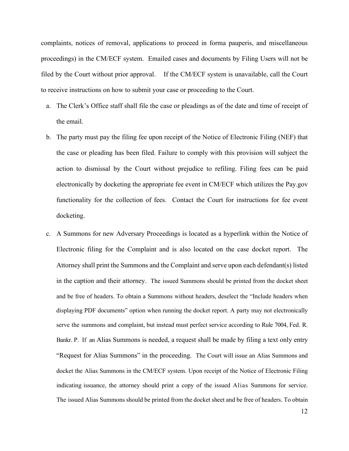complaints, notices of removal, applications to proceed in forma pauperis, and miscellaneous proceedings) in the CM/ECF system. Emailed cases and documents by Filing Users will not be filed by the Court without prior approval. If the CM/ECF system is unavailable, call the Court to receive instructions on how to submit your case or proceeding to the Court.

- a. The Clerk's Office staff shall file the case or pleadings as of the date and time of receipt of the email.
- b. The party must pay the filing fee upon receipt of the Notice of Electronic Filing (NEF) that the case or pleading has been filed. Failure to comply with this provision will subject the action to dismissal by the Court without prejudice to refiling. Filing fees can be paid electronically by docketing the appropriate fee event in CM/ECF which utilizes the Pay.gov functionality for the collection of fees. Contact the Court for instructions for fee event docketing.
- c. A Summons for new Adversary Proceedings is located as a hyperlink within the Notice of Electronic filing for the Complaint and is also located on the case docket report. The Attorney shall print the Summons and the Complaint and serve upon each defendant(s) listed in the caption and their attorney. The issued Summons should be printed from the docket sheet and be free of headers. To obtain a Summons without headers, deselect the "Include headers when displaying PDF documents" option when running the docket report. A party may not electronically serve the summons and complaint, but instead must perfect service according to Rule 7004, Fed. R. Bankr. P. If an Alias Summons is needed, a request shall be made by filing a text only entry "Request for Alias Summons" in the proceeding. The Court will issue an Alias Summons and docket the Alias Summons in the CM/ECF system. Upon receipt of the Notice of Electronic Filing indicating issuance, the attorney should print a copy of the issued Alias Summons for service. The issued Alias Summons should be printed from the docket sheet and be free of headers. To obtain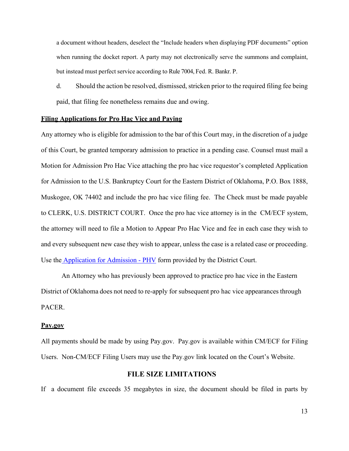a document without headers, deselect the "Include headers when displaying PDF documents" option when running the docket report. A party may not electronically serve the summons and complaint, but instead must perfect service according to Rule 7004, Fed. R. Bankr. P.

d. Should the action be resolved, dismissed, stricken prior to the required filing fee being paid, that filing fee nonetheless remains due and owing.

#### <span id="page-12-0"></span>**Filing Applications for Pro Hac Vice and Paying**

Any attorney who is eligible for admission to the bar of this Court may, in the discretion of a judge of this Court, be granted temporary admission to practice in a pending case. Counsel must mail a Motion for Admission Pro Hac Vice attaching the pro hac vice requestor's completed Application for Admission to the U.S. Bankruptcy Court for the Eastern District of Oklahoma, P.O. Box 1888, Muskogee, OK 74402 and include the pro hac vice filing fee. The Check must be made payable to CLERK, U.S. DISTRICT COURT. Once the pro hac vice attorney is in the CM/ECF system, the attorney will need to file a Motion to Appear Pro Hac Vice and fee in each case they wish to and every subsequent new case they wish to appear, unless the case is a related case or proceeding. Use the [Application for Admission -](https://www.oked.uscourts.gov/forms/application-admission-phv) PHV form provided by the District Court.

An Attorney who has previously been approved to practice pro hac vice in the Eastern District of Oklahoma does not need to re-apply for subsequent pro hac vice appearances through PACER.

#### <span id="page-12-1"></span>**Pay.gov**

All payments should be made by using Pay.gov. Pay.gov is available within CM/ECF for Filing Users. Non-CM/ECF Filing Users may use the Pay.gov link located on the Court's Website.

# **FILE SIZE LIMITATIONS**

<span id="page-12-2"></span>If a document file exceeds 35 megabytes in size, the document should be filed in parts by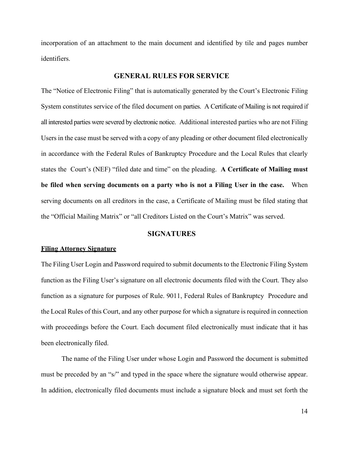incorporation of an attachment to the main document and identified by tile and pages number identifiers.

# **GENERAL RULES FOR SERVICE**

<span id="page-13-0"></span>The "Notice of Electronic Filing" that is automatically generated by the Court's Electronic Filing System constitutes service of the filed document on parties. A Certificate of Mailing is not required if all interested parties were severed by electronic notice. Additional interested parties who are not Filing Users in the case must be served with a copy of any pleading or other document filed electronically in accordance with the Federal Rules of Bankruptcy Procedure and the Local Rules that clearly states the Court's (NEF) "filed date and time" on the pleading. **A Certificate of Mailing must be filed when serving documents on a party who is not a Filing User in the case.** When serving documents on all creditors in the case, a Certificate of Mailing must be filed stating that the "Official Mailing Matrix" or "all Creditors Listed on the Court's Matrix" was served.

#### **SIGNATURES**

#### <span id="page-13-2"></span><span id="page-13-1"></span>**Filing Attorney Signature**

The Filing User Login and Password required to submit documents to the Electronic Filing System function as the Filing User's signature on all electronic documents filed with the Court. They also function as a signature for purposes of Rule. 9011, Federal Rules of Bankruptcy Procedure and the Local Rules of this Court, and any other purpose for which a signature is required in connection with proceedings before the Court. Each document filed electronically must indicate that it has been electronically filed.

The name of the Filing User under whose Login and Password the document is submitted must be preceded by an "s/" and typed in the space where the signature would otherwise appear. In addition, electronically filed documents must include a signature block and must set forth the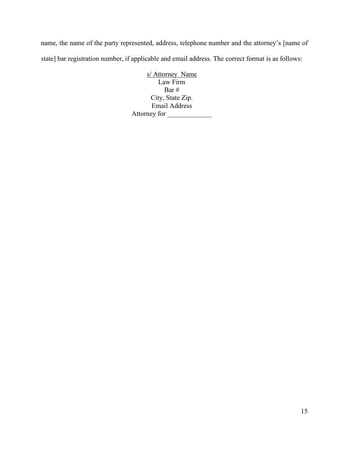name, the name of the party represented, address, telephone number and the attorney's [name of state] bar registration number, if applicable and email address. The correct format is as follows:

> s/ Attorney Name Law Firm Bar # City, State Zip. Email Address Attorney for \_\_\_\_\_\_\_\_\_\_\_\_\_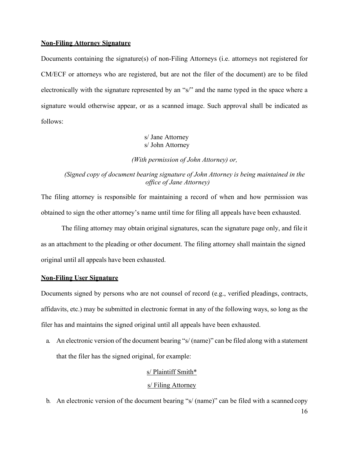#### <span id="page-15-0"></span>**Non-Filing Attorney Signature**

Documents containing the signature(s) of non-Filing Attorneys (i.e. attorneys not registered for CM/ECF or attorneys who are registered, but are not the filer of the document) are to be filed electronically with the signature represented by an "s/" and the name typed in the space where a signature would otherwise appear, or as a scanned image. Such approval shall be indicated as follows:

# s/ Jane Attorney s/ John Attorney

*(With permission of John Attorney) or,*

# *(Signed copy of document bearing signature of John Attorney is being maintained in the office of Jane Attorney)*

The filing attorney is responsible for maintaining a record of when and how permission was obtained to sign the other attorney's name until time for filing all appeals have been exhausted.

The filing attorney may obtain original signatures, scan the signature page only, and file it as an attachment to the pleading or other document. The filing attorney shall maintain the signed original until all appeals have been exhausted.

#### <span id="page-15-1"></span>**Non-Filing User Signature**

Documents signed by persons who are not counsel of record (e.g., verified pleadings, contracts, affidavits, etc.) may be submitted in electronic format in any of the following ways, so long as the filer has and maintains the signed original until all appeals have been exhausted.

a. An electronic version of the document bearing "s/ (name)" can be filed along with a statement that the filer has the signed original, for example:

#### s/ Plaintiff Smith\*

# s/ Filing Attorney

b. An electronic version of the document bearing "s/ (name)" can be filed with a scanned copy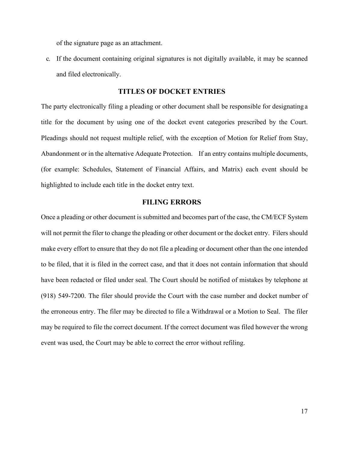of the signature page as an attachment.

c. If the document containing original signatures is not digitally available, it may be scanned and filed electronically.

# **TITLES OF DOCKET ENTRIES**

<span id="page-16-0"></span>The party electronically filing a pleading or other document shall be responsible for designating a title for the document by using one of the docket event categories prescribed by the Court. Pleadings should not request multiple relief, with the exception of Motion for Relief from Stay, Abandonment or in the alternative Adequate Protection. If an entry contains multiple documents, (for example: Schedules, Statement of Financial Affairs, and Matrix) each event should be highlighted to include each title in the docket entry text.

# **FILING ERRORS**

<span id="page-16-1"></span>Once a pleading or other document is submitted and becomes part of the case, the CM/ECF System will not permit the filer to change the pleading or other document or the docket entry. Filers should make every effort to ensure that they do not file a pleading or document other than the one intended to be filed, that it is filed in the correct case, and that it does not contain information that should have been redacted or filed under seal. The Court should be notified of mistakes by telephone at (918) 549-7200. The filer should provide the Court with the case number and docket number of the erroneous entry. The filer may be directed to file a Withdrawal or a Motion to Seal. The filer may be required to file the correct document. If the correct document was filed however the wrong event was used, the Court may be able to correct the error without refiling.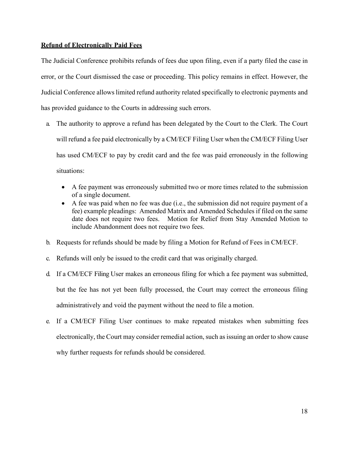# <span id="page-17-0"></span>**Refund of Electronically Paid Fees**

The Judicial Conference prohibits refunds of fees due upon filing, even if a party filed the case in error, or the Court dismissed the case or proceeding. This policy remains in effect. However, the Judicial Conference allows limited refund authority related specifically to electronic payments and has provided guidance to the Courts in addressing such errors.

- a. The authority to approve a refund has been delegated by the Court to the Clerk. The Court will refund a fee paid electronically by a CM/ECF Filing User when the CM/ECF Filing User has used CM/ECF to pay by credit card and the fee was paid erroneously in the following situations:
	- A fee payment was erroneously submitted two or more times related to the submission of a single document.
	- A fee was paid when no fee was due (i.e., the submission did not require payment of a fee) example pleadings: Amended Matrix and Amended Schedules if filed on the same date does not require two fees. Motion for Relief from Stay Amended Motion to include Abandonment does not require two fees.
- b. Requests for refunds should be made by filing a Motion for Refund of Fees in CM/ECF.
- c. Refunds will only be issued to the credit card that was originally charged.
- d. If a CM/ECF Filing User makes an erroneous filing for which a fee payment was submitted, but the fee has not yet been fully processed, the Court may correct the erroneous filing administratively and void the payment without the need to file a motion.
- e. If a CM/ECF Filing User continues to make repeated mistakes when submitting fees electronically, the Court may consider remedial action, such as issuing an order to show cause why further requests for refunds should be considered.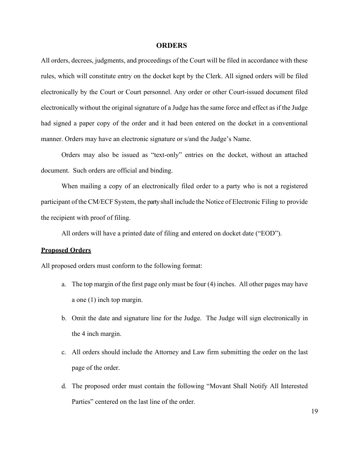#### **ORDERS**

<span id="page-18-0"></span>All orders, decrees, judgments, and proceedings of the Court will be filed in accordance with these rules, which will constitute entry on the docket kept by the Clerk. All signed orders will be filed electronically by the Court or Court personnel. Any order or other Court-issued document filed electronically without the original signature of a Judge has the same force and effect as if the Judge had signed a paper copy of the order and it had been entered on the docket in a conventional manner. Orders may have an electronic signature or s/and the Judge's Name.

Orders may also be issued as "text-only" entries on the docket, without an attached document. Such orders are official and binding.

When mailing a copy of an electronically filed order to a party who is not a registered participant of the CM/ECF System, the party shall include the Notice of Electronic Filing to provide the recipient with proof of filing.

All orders will have a printed date of filing and entered on docket date ("EOD").

## <span id="page-18-1"></span>**Proposed Orders**

All proposed orders must conform to the following format:

- a. The top margin of the first page only must be four (4) inches. All other pages may have a one (1) inch top margin.
- b. Omit the date and signature line for the Judge. The Judge will sign electronically in the 4 inch margin.
- c. All orders should include the Attorney and Law firm submitting the order on the last page of the order.
- d. The proposed order must contain the following "Movant Shall Notify All Interested Parties" centered on the last line of the order.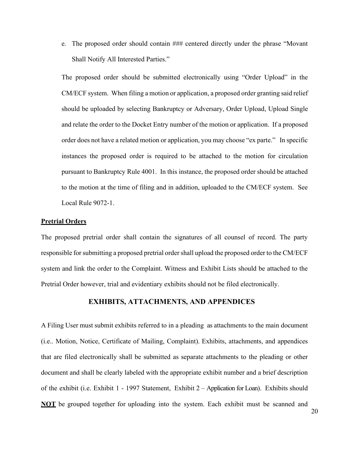e. The proposed order should contain ### centered directly under the phrase "Movant Shall Notify All Interested Parties."

The proposed order should be submitted electronically using "Order Upload" in the CM/ECF system. When filing a motion or application, a proposed order granting said relief should be uploaded by selecting Bankruptcy or Adversary, Order Upload, Upload Single and relate the order to the Docket Entry number of the motion or application. If a proposed order does not have a related motion or application, you may choose "ex parte." In specific instances the proposed order is required to be attached to the motion for circulation pursuant to Bankruptcy Rule 4001. In this instance, the proposed order should be attached to the motion at the time of filing and in addition, uploaded to the CM/ECF system. See Local Rule 9072-1.

## <span id="page-19-0"></span>**Pretrial Orders**

The proposed pretrial order shall contain the signatures of all counsel of record. The party responsible for submitting a proposed pretrial order shall upload the proposed order to the CM/ECF system and link the order to the Complaint. Witness and Exhibit Lists should be attached to the Pretrial Order however, trial and evidentiary exhibits should not be filed electronically.

# **EXHIBITS, ATTACHMENTS, AND APPENDICES**

<span id="page-19-1"></span>A Filing User must submit exhibits referred to in a pleading as attachments to the main document (i.e.. Motion, Notice, Certificate of Mailing, Complaint). Exhibits, attachments, and appendices that are filed electronically shall be submitted as separate attachments to the pleading or other document and shall be clearly labeled with the appropriate exhibit number and a brief description of the exhibit (i.e. Exhibit 1 - 1997 Statement, Exhibit 2 – Application for Loan). Exhibits should **NOT** be grouped together for uploading into the system. Each exhibit must be scanned and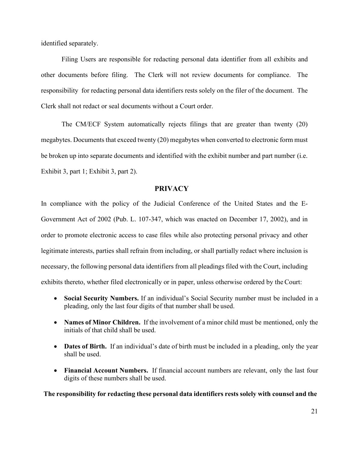identified separately.

Filing Users are responsible for redacting personal data identifier from all exhibits and other documents before filing. The Clerk will not review documents for compliance. The responsibility for redacting personal data identifiers rests solely on the filer of the document. The Clerk shall not redact or seal documents without a Court order.

The CM/ECF System automatically rejects filings that are greater than twenty (20) megabytes. Documents that exceed twenty (20) megabytes when converted to electronic form must be broken up into separate documents and identified with the exhibit number and part number (i.e. Exhibit 3, part 1; Exhibit 3, part 2).

# **PRIVACY**

<span id="page-20-0"></span>In compliance with the policy of the Judicial Conference of the United States and the E-Government Act of 2002 (Pub. L. 107-347, which was enacted on December 17, 2002), and in order to promote electronic access to case files while also protecting personal privacy and other legitimate interests, parties shall refrain from including, or shall partially redact where inclusion is necessary, the following personal data identifiers from all pleadings filed with the Court, including exhibits thereto, whether filed electronically or in paper, unless otherwise ordered by the Court:

- **Social Security Numbers.** If an individual's Social Security number must be included in a pleading, only the last four digits of that number shall be used.
- **Names of Minor Children.** If the involvement of a minor child must be mentioned, only the initials of that child shall be used.
- **Dates of Birth.** If an individual's date of birth must be included in a pleading, only the year shall be used.
- **Financial Account Numbers.** If financial account numbers are relevant, only the last four digits of these numbers shall be used.

<span id="page-20-1"></span>**The responsibility for redacting these personal data identifiers rests solely with counsel and the**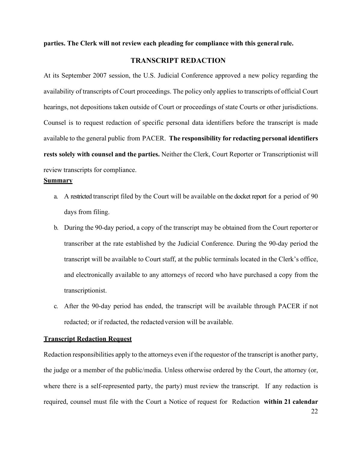<span id="page-21-0"></span>**parties. The Clerk will not review each pleading for compliance with this general rule.**

# **TRANSCRIPT REDACTION**

At its September 2007 session, the U.S. Judicial Conference approved a new policy regarding the availability of transcripts of Court proceedings. The policy only applies to transcripts of official Court hearings, not depositions taken outside of Court or proceedings of state Courts or other jurisdictions. Counsel is to request redaction of specific personal data identifiers before the transcript is made available to the general public from PACER. **The responsibility for redacting personal identifiers rests solely with counsel and the parties.** Neither the Clerk, Court Reporter or Transcriptionist will review transcripts for compliance.

#### <span id="page-21-1"></span>**Summary**

- a. A restricted transcript filed by the Court will be available on the docket report for a period of 90 days from filing.
- b. During the 90-day period, a copy of the transcript may be obtained from the Court reporter or transcriber at the rate established by the Judicial Conference. During the 90-day period the transcript will be available to Court staff, at the public terminals located in the Clerk's office, and electronically available to any attorneys of record who have purchased a copy from the transcriptionist.
- c. After the 90-day period has ended, the transcript will be available through PACER if not redacted; or if redacted, the redacted version will be available.

#### <span id="page-21-2"></span>**Transcript Redaction Request**

Redaction responsibilities apply to the attorneys even if the requestor of the transcript is another party, the judge or a member of the public/media. Unless otherwise ordered by the Court, the attorney (or, where there is a self-represented party, the party) must review the transcript. If any redaction is required, counsel must file with the Court a Notice of request for Redaction **within 21 calendar**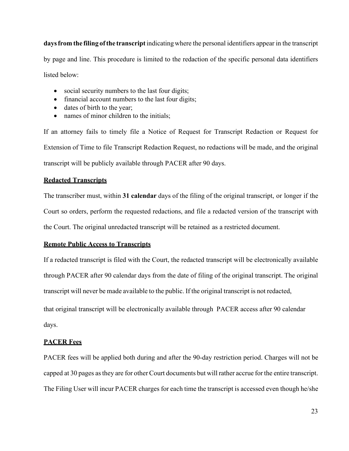**daysfrom the filing ofthe transcript**indicatingwhere the personal identifiers appear in the transcript by page and line. This procedure is limited to the redaction of the specific personal data identifiers listed below:

- social security numbers to the last four digits;
- financial account numbers to the last four digits;
- dates of birth to the year;
- names of minor children to the initials;

If an attorney fails to timely file a Notice of Request for Transcript Redaction or Request for Extension of Time to file Transcript Redaction Request, no redactions will be made, and the original transcript will be publicly available through PACER after 90 days.

# <span id="page-22-0"></span>**Redacted Transcripts**

The transcriber must, within **31 calendar** days of the filing of the original transcript, or longer if the Court so orders, perform the requested redactions, and file a redacted version of the transcript with the Court. The original unredacted transcript will be retained as a restricted document.

# <span id="page-22-1"></span>**Remote Public Access to Transcripts**

If a redacted transcript is filed with the Court, the redacted transcript will be electronically available through PACER after 90 calendar days from the date of filing of the original transcript. The original transcript will never be made available to the public. If the original transcript is not redacted,

that original transcript will be electronically available through PACER access after 90 calendar days.

## <span id="page-22-2"></span>**PACER Fees**

PACER fees will be applied both during and after the 90-day restriction period. Charges will not be capped at 30 pages asthey are for other Court documents but will rather accrue for the entire transcript. The Filing User will incur PACER charges for each time the transcript is accessed even though he/she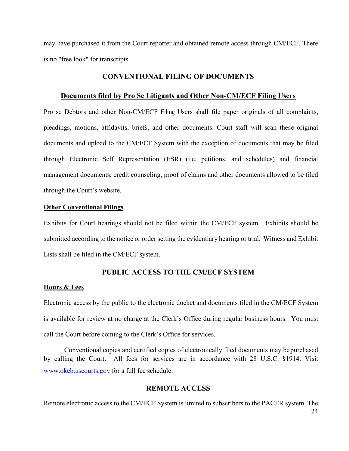<span id="page-23-0"></span>may have purchased it from the Court reporter and obtained remote access through CM/ECF. There is no "free look" for transcripts.

# **CONVENTIONAL FILING OF DOCUMENTS**

## **Documents filed by Pro Se Litigants and Other Non-CM/ECF Filing Users**

<span id="page-23-1"></span>Pro se Debtors and other Non-CM/ECF Filing Users shall file paper originals of all complaints, pleadings, motions, affidavits, briefs, and other documents. Court staff will scan these original documents and upload to the CM/ECF System with the exception of documents that may be filed through Electronic Self Representation (ESR) (i.e. petitions, and schedules) and financial management documents, credit counseling, proof of claims and other documents allowed to be filed through the Court's website.

#### <span id="page-23-2"></span>**Other Conventional Filings**

Exhibits for Court hearings should not be filed within the CM/ECF system. Exhibits should be submitted according to the notice or order setting the evidentiary hearing or trial. Witness and Exhibit Lists shall be filed in the CM/ECF system.

# **PUBLIC ACCESS TO THE CM/ECF SYSTEM**

# <span id="page-23-4"></span><span id="page-23-3"></span>**Hours & Fees**

Electronic access by the public to the electronic docket and documents filed in the CM/ECF System is available for review at no charge at the Clerk's Office during regular business hours. You must call the Court before coming to the Clerk's Office for services.

Conventional copies and certified copies of electronically filed documents may bepurchased by calling the Court. All fees for services are in accordance with 28 U.S.C. §1914. Visit www.okeb.uscourts.gov for a full fee schedule.

# **REMOTE ACCESS**

<span id="page-23-5"></span>24 Remote electronic access to the CM/ECF System is limited to subscribers to the PACER system. The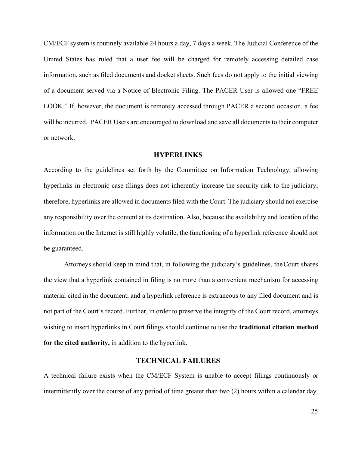CM/ECF system is routinely available 24 hours a day, 7 days a week. The Judicial Conference of the United States has ruled that a user fee will be charged for remotely accessing detailed case information, such as filed documents and docket sheets. Such fees do not apply to the initial viewing of a document served via a Notice of Electronic Filing. The PACER User is allowed one "FREE LOOK." If, however, the document is remotely accessed through PACER a second occasion, a fee will be incurred. PACER Users are encouraged to download and save all documents to their computer or network.

# **HYPERLINKS**

<span id="page-24-0"></span>According to the guidelines set forth by the Committee on Information Technology, allowing hyperlinks in electronic case filings does not inherently increase the security risk to the judiciary; therefore, hyperlinks are allowed in documents filed with the Court. The judiciary should not exercise any responsibility over the content at its destination. Also, because the availability and location of the information on the Internet is still highly volatile, the functioning of a hyperlink reference should not be guaranteed.

Attorneys should keep in mind that, in following the judiciary's guidelines, theCourt shares the view that a hyperlink contained in filing is no more than a convenient mechanism for accessing material cited in the document, and a hyperlink reference is extraneous to any filed document and is not part of the Court's record. Further, in order to preserve the integrity of the Court record, attorneys wishing to insert hyperlinks in Court filings should continue to use the **traditional citation method for the cited authority,** in addition to the hyperlink.

# **TECHNICAL FAILURES**

<span id="page-24-1"></span>A technical failure exists when the CM/ECF System is unable to accept filings continuously or intermittently over the course of any period of time greater than two (2) hours within a calendar day.